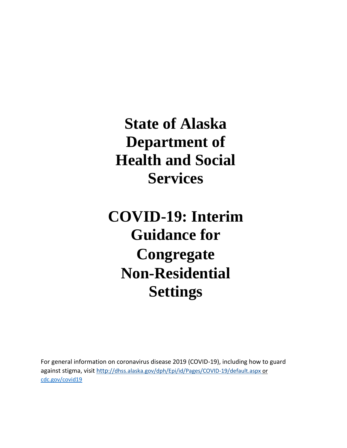**State of Alaska Department of Health and Social Services** 

# **COVID-19: Interim Guidance for Congregate Non-Residential Settings**

For general information on coronavirus disease 2019 (COVID-19), including how to guard against stigma, visit http[://dhss.alaska.gov/dph/Epi/id/Pages/COVID-19/default.aspx](http://dhss.alaska.gov/dph/Epi/id/Pages/COVID-19/default.aspx%20or%20cdc.gov/covid19) o[r](http://dhss.alaska.gov/dph/Epi/id/Pages/COVID-19/default.aspx%20or%20cdc.gov/covid19) [cdc.gov/covid19](http://dhss.alaska.gov/dph/Epi/id/Pages/COVID-19/default.aspx%20or%20cdc.gov/covid19)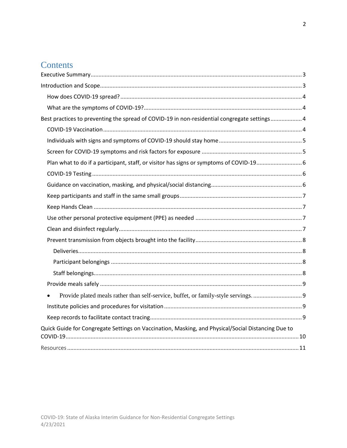# Contents

| Best practices to preventing the spread of COVID-19 in non-residential congregate settings4        |  |
|----------------------------------------------------------------------------------------------------|--|
|                                                                                                    |  |
|                                                                                                    |  |
|                                                                                                    |  |
|                                                                                                    |  |
|                                                                                                    |  |
|                                                                                                    |  |
|                                                                                                    |  |
|                                                                                                    |  |
|                                                                                                    |  |
|                                                                                                    |  |
|                                                                                                    |  |
|                                                                                                    |  |
|                                                                                                    |  |
|                                                                                                    |  |
|                                                                                                    |  |
|                                                                                                    |  |
|                                                                                                    |  |
|                                                                                                    |  |
| Quick Guide for Congregate Settings on Vaccination, Masking, and Physical/Social Distancing Due to |  |
|                                                                                                    |  |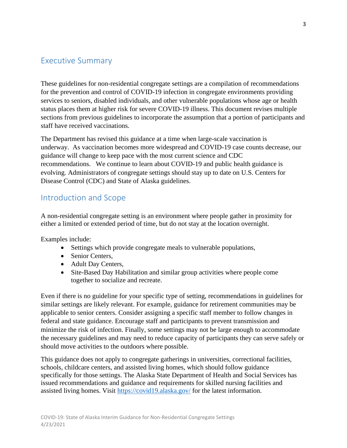# <span id="page-2-0"></span>Executive Summary

These guidelines for non-residential congregate settings are a compilation of recommendations for the prevention and control of COVID-19 infection in congregate environments providing services to seniors, disabled individuals, and other vulnerable populations whose age or health status places them at higher risk for severe COVID-19 illness. This document revises multiple sections from previous guidelines to incorporate the assumption that a portion of participants and staff have received vaccinations.

The Department has revised this guidance at a time when large-scale vaccination is underway. As vaccination becomes more widespread and COVID-19 case counts decrease, our guidance will change to keep pace with the most current science and CDC recommendations. We continue to learn about COVID-19 and public health guidance is evolving. Administrators of congregate settings should stay up to date on U.S. Centers for Disease Control (CDC) and State of Alaska guidelines.

# <span id="page-2-1"></span>Introduction and Scope

A non-residential congregate setting is an environment where people gather in proximity for either a limited or extended period of time, but do not stay at the location overnight.

Examples include:

- Settings which provide congregate meals to vulnerable populations,
- Senior Centers,
- Adult Day Centers,
- Site-Based Day Habilitation and similar group activities where people come together to socialize and recreate.

Even if there is no guideline for your specific type of setting, recommendations in guidelines for similar settings are likely relevant. For example, guidance for retirement communities may be applicable to senior centers. Consider assigning a specific staff member to follow changes in federal and state guidance. Encourage staff and participants to prevent transmission and minimize the risk of infection. Finally, some settings may not be large enough to accommodate the necessary guidelines and may need to reduce capacity of participants they can serve safely or should move activities to the outdoors where possible.

This guidance does not apply to congregate gatherings in universities, correctional facilities, schools, childcare centers, and assisted living homes, which should follow guidance specifically for those settings. The Alaska State Department of Health and Social Services has issued recommendations and guidance and requirements for skilled nursing facilities and assisted living homes. Visit <https://covid19.alaska.gov/> for the latest information.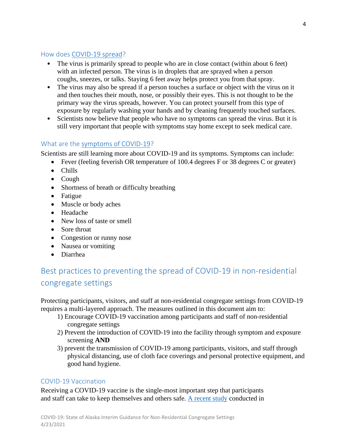#### <span id="page-3-0"></span>How does [COVID-19 spread?](https://www.cdc.gov/coronavirus/2019-ncov/prevent-getting-sick/how-covid-spreads.html)

- The virus is primarily spread to people who are in close contact (within about 6 feet) with an infected person. The virus is in droplets that are sprayed when a person coughs, sneezes, or talks. Staying 6 feet away helps protect you from that spray.
- The virus may also be spread if a person touches a surface or object with the virus on it and then touches their mouth, nose, or possibly their eyes. This is not thought to be the primary way the virus spreads, however. You can protect yourself from this type of exposure by regularly washing your hands and by cleaning frequently touched surfaces.
- Scientists now believe that people who have no symptoms can spread the virus. But it is still very important that people with symptoms stay home except to seek medical care.

# <span id="page-3-1"></span>What are the [symptoms of COVID-19?](https://www.cdc.gov/coronavirus/2019-ncov/symptoms-testing/symptoms.html)

Scientists are still learning more about COVID-19 and its symptoms. Symptoms can include:

- Fever (feeling feverish OR temperature of 100.4 degrees F or 38 degrees C or greater)
- Chills
- Cough
- Shortness of breath or difficulty breathing
- Fatigue
- Muscle or body aches
- Headache
- New loss of taste or smell
- Sore throat
- Congestion or runny nose
- Nausea or vomiting
- Diarrhea

# <span id="page-3-2"></span>Best practices to preventing the spread of COVID-19 in non-residential congregate settings

Protecting participants, visitors, and staff at non-residential congregate settings from COVID-19 requires a multi-layered approach. The measures outlined in this document aim to:

- 1) Encourage COVID-19 vaccination among participants and staff of non-residential congregate settings
- 2) Prevent the introduction of COVID-19 into the facility through symptom and exposure screening **AND**
- 3) prevent the transmission of COVID-19 among participants, visitors, and staff through physical distancing, use of cloth face coverings and personal protective equipment, and good hand hygiene.

### <span id="page-3-3"></span>COVID-19 Vaccination

Receiving a COVID-19 vaccine is the single-most important step that participants and staff can take to keep themselves and others safe. [A recent study](https://www.cdc.gov/mmwr/volumes/70/wr/pdfs/mm7013e3-H.pdf) conducted in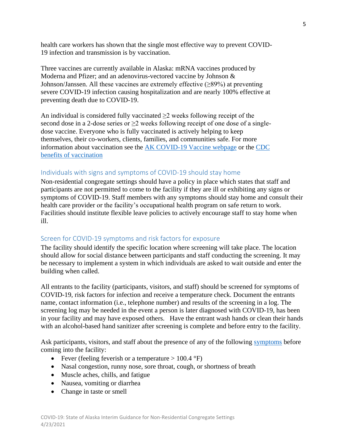health care workers has shown that the single most effective way to prevent COVID-19 infection and transmission is by vaccination.

Three vaccines are currently available in Alaska: mRNA vaccines produced by Moderna and Pfizer; and an adenovirus-vectored vaccine by Johnson & Johnson/Janssen. All these vaccines are extremely effective (≥89%) at preventing severe COVID-19 infection causing hospitalization and are nearly 100% effective at preventing death due to COVID-19.

An individual is considered fully vaccinated  $\geq$  weeks following receipt of the second dose in a 2-dose series or >2 weeks following receipt of one dose of a singledose vaccine. Everyone who is fully vaccinated is actively helping to keep themselves, their co-workers, clients, families, and communities safe. For more information about vaccination see the [AK COVID-19 Vaccine webpage](http://dhss.alaska.gov/dph/Epi/id/Pages/COVID-19/vaccine.aspx) or the [CDC](https://www.cdc.gov/coronavirus/2019-ncov/vaccines/vaccine-benefits.html)  [benefits of vaccination](https://www.cdc.gov/coronavirus/2019-ncov/vaccines/vaccine-benefits.html)

### <span id="page-4-0"></span>Individuals with signs and symptoms of COVID-19 should stay home

Non-residential congregate settings should have a policy in place which states that staff and participants are not permitted to come to the facility if they are ill or exhibiting any signs or symptoms of COVID-19. Staff members with any symptoms should stay home and consult their health care provider or the facility's occupational health program on safe return to work. Facilities should institute flexible leave policies to actively encourage staff to stay home when ill.

### <span id="page-4-1"></span>Screen for COVID-19 symptoms and risk factors for exposure

The facility should identify the specific location where screening will take place. The location should allow for social distance between participants and staff conducting the screening. It may be necessary to implement a system in which individuals are asked to wait outside and enter the building when called.

All entrants to the facility (participants, visitors, and staff) should be screened for symptoms of COVID-19, risk factors for infection and receive a temperature check. Document the entrants name, contact information (i.e., telephone number) and results of the screening in a log. The screening log may be needed in the event a person is later diagnosed with COVID-19, has been in your facility and may have exposed others. Have the entrant wash hands or clean their hands with an alcohol-based hand sanitizer after screening is complete and before entry to the facility.

Ask participants, visitors, and staff about the presence of any of the following [symptoms](https://www.cdc.gov/coronavirus/2019-ncov/symptoms-testing/symptoms.html) before coming into the facility:

- Fever (feeling feverish or a temperature  $> 100.4 \text{ }^{\circ}\text{F}$ )
- Nasal congestion, runny nose, sore throat, cough, or shortness of breath
- Muscle aches, chills, and fatigue
- Nausea, vomiting or diarrhea
- Change in taste or smell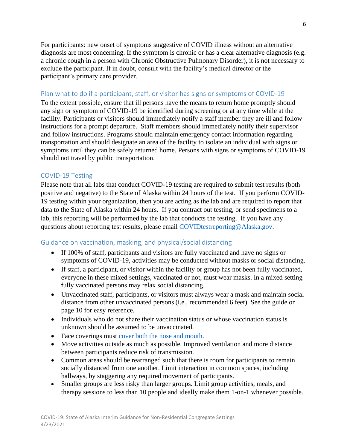For participants: new onset of symptoms suggestive of COVID illness without an alternative diagnosis are most concerning. If the symptom is chronic or has a clear alternative diagnosis (e.g. a chronic cough in a person with Chronic Obstructive Pulmonary Disorder), it is not necessary to exclude the participant. If in doubt, consult with the facility's medical director or the participant's primary care provider.

#### <span id="page-5-0"></span>Plan what to do if a participant, staff, or visitor has signs or symptoms of COVID-19

To the extent possible, ensure that ill persons have the means to return home promptly should any sign or symptom of COVID-19 be identified during screening or at any time while at the facility. Participants or visitors should immediately notify a staff member they are ill and follow instructions for a prompt departure. Staff members should immediately notify their supervisor and follow instructions. Programs should maintain emergency contact information regarding transportation and should designate an area of the facility to isolate an individual with signs or symptoms until they can be safely returned home. Persons with signs or symptoms of COVID-19 should not travel by public transportation.

### <span id="page-5-1"></span>COVID-19 Testing

Please note that all labs that conduct COVID-19 testing are required to submit test results (both positive and negative) to the State of Alaska within 24 hours of the test. If you perform COVID-19 testing within your organization, then you are acting as the lab and are required to report that data to the State of Alaska within 24 hours. If you contract out testing, or send specimens to a lab, this reporting will be performed by the lab that conducts the testing. If you have any questions about reporting test results, please email [COVIDtestreporting@Alaska.gov.](mailto:COVIDtestreporting@Alaska.gov)

### <span id="page-5-2"></span>Guidance on vaccination, masking, and physical/social distancing

- If 100% of staff, participants and visitors are fully vaccinated and have no signs or symptoms of COVID-19, activities may be conducted without masks or social distancing.
- If staff, a participant, or visitor within the facility or group has not been fully vaccinated, everyone in these mixed settings, vaccinated or not, must wear masks. In a mixed setting fully vaccinated persons may relax social distancing.
- Unvaccinated staff, participants, or visitors must always wear a mask and maintain social distance from other unvaccinated persons (i.e., recommended 6 feet). See the guide on page 10 for easy reference.
- Individuals who do not share their vaccination status or whose vaccination status is unknown should be assumed to be unvaccinated.
- Face coverings must [cover both the nose and mouth.](https://www.cdc.gov/coronavirus/2019-ncov/prevent-getting-sick/how-to-wear-cloth-face-coverings.html)
- Move activities outside as much as possible. Improved ventilation and more distance between participants reduce risk of transmission.
- Common areas should be rearranged such that there is room for participants to remain socially distanced from one another. Limit interaction in common spaces, including hallways, by staggering any required movement of participants.
- Smaller groups are less risky than larger groups. Limit group activities, meals, and therapy sessions to less than 10 people and ideally make them 1-on-1 whenever possible.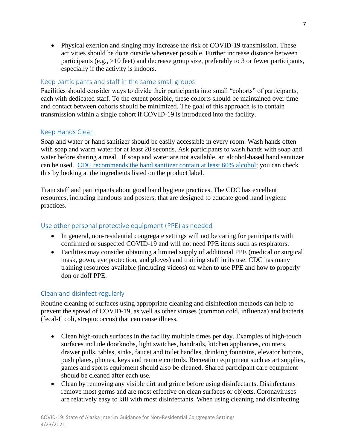• Physical exertion and singing may increase the risk of COVID-19 transmission. These activities should be done outside whenever possible. Further increase distance between participants (e.g., >10 feet) and decrease group size, preferably to 3 or fewer participants, especially if the activity is indoors.

# <span id="page-6-0"></span>Keep participants and staff in the same small groups

Facilities should consider ways to divide their participants into small "cohorts" of participants, each with dedicated staff. To the extent possible, these cohorts should be maintained over time and contact between cohorts should be minimized. The goal of this approach is to contain transmission within a single cohort if COVID-19 is introduced into the facility.

# <span id="page-6-1"></span>[Keep Hands Clean](https://www.cdc.gov/handwashing/when-how-handwashing.html)

Soap and water or hand sanitizer should be easily accessible in every room. Wash hands often with soap and warm water for at least 20 seconds. Ask participants to wash hands with soap and water before sharing a meal. If soap and water are not available, an alcohol-based hand sanitizer can be used. [CDC recommends the hand sanitizer contain at](https://www.cdc.gov/coronavirus/2019-ncov/hcp/hand-hygiene.html) least 60% alcohol; you can check this by looking at the ingredients listed on the product label.

Train staff and participants about good hand hygiene practices. The CDC has excellent resources, including handouts and posters, that are designed to educate good hand hygiene practices.

## <span id="page-6-2"></span>[Use other personal protective equipment \(PPE\) as needed](https://www.cdc.gov/coronavirus/2019-ncov/hcp/using-ppe.html)

- In general, non-residential congregate settings will not be caring for participants with confirmed or suspected COVID-19 and will not need PPE items such as respirators.
- Facilities may consider obtaining a limited supply of additional PPE (medical or surgical mask, gown, eye protection, and gloves) and training staff in its use. CDC has many training resources available (including videos) on when to use PPE and how to properly don or doff PPE.

# <span id="page-6-3"></span>[Clean and disinfect regularly](https://www.cdc.gov/coronavirus/2019-ncov/community/disinfecting-building-facility.html)

Routine cleaning of surfaces using appropriate cleaning and disinfection methods can help to prevent the spread of COVID-19, as well as other viruses (common cold, influenza) and bacteria (fecal-E coli, streptococcus) that can cause illness.

- Clean high-touch surfaces in the facility multiple times per day. Examples of high-touch surfaces include doorknobs, light switches, handrails, kitchen appliances, counters, drawer pulls, tables, sinks, faucet and toilet handles, drinking fountains, elevator buttons, push plates, phones, keys and remote controls. Recreation equipment such as art supplies, games and sports equipment should also be cleaned. Shared participant care equipment should be cleaned after each use.
- Clean by removing any visible dirt and grime before using disinfectants. Disinfectants remove most germs and are most effective on clean surfaces or objects. Coronaviruses are relatively easy to kill with most disinfectants. When using cleaning and disinfecting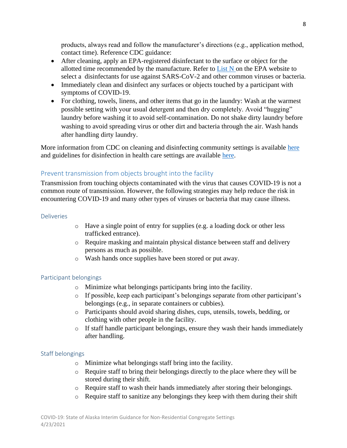products, always read and follow the manufacturer's directions (e.g., application method, contact time). Reference CDC guidance:

- After cleaning, apply an EPA-registered disinfectant to the surface or object for the allotted time recommended by the manufacture. Refer to List  $N$  on the EPA website to select a disinfectants for use against SARS-CoV-2 and other common viruses or bacteria.
- Immediately clean and disinfect any surfaces or objects touched by a participant with symptoms of COVID-19.
- For clothing, towels, linens, and other items that go in the laundry: Wash at the warmest possible setting with your usual detergent and then dry completely. Avoid "hugging" laundry before washing it to avoid self-contamination. Do not shake dirty laundry before washing to avoid spreading virus or other dirt and bacteria through the air. Wash hands after handling dirty laundry.

More information from CDC on cleaning and disinfecting community settings is available [here](https://www.cdc.gov/coronavirus/2019-ncov/community/disinfecting-building-facility.html) and guidelines for disinfection in health care settings are available [here.](https://www.cdc.gov/infectioncontrol/guidelines/disinfection/index.html)

# <span id="page-7-0"></span>Prevent transmission from objects brought into the facility

Transmission from touching objects contaminated with the virus that causes COVID-19 is not a common route of transmission. However, the following strategies may help reduce the risk in encountering COVID-19 and many other types of viruses or bacteria that may cause illness.

#### <span id="page-7-1"></span>**Deliveries**

- o Have a single point of entry for supplies (e.g. a loading dock or other less trafficked entrance).
- o Require masking and maintain physical distance between staff and delivery persons as much as possible.
- o Wash hands once supplies have been stored or put away.

### <span id="page-7-2"></span>Participant belongings

- o Minimize what belongings participants bring into the facility.
- o If possible, keep each participant's belongings separate from other participant's belongings (e.g., in separate containers or cubbies).
- o Participants should avoid sharing dishes, cups, utensils, towels, bedding, or clothing with other people in the facility.
- o If staff handle participant belongings, ensure they wash their hands immediately after handling.

### <span id="page-7-3"></span>Staff belongings

- o Minimize what belongings staff bring into the facility.
- o Require staff to bring their belongings directly to the place where they will be stored during their shift.
- o Require staff to wash their hands immediately after storing their belongings.
- o Require staff to sanitize any belongings they keep with them during their shift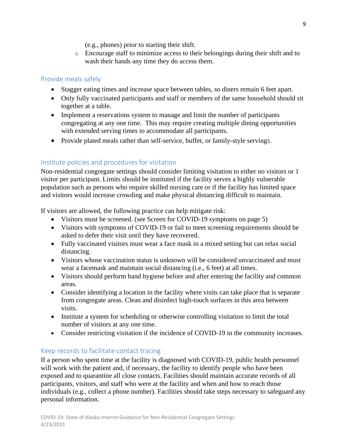(e.g., phones) prior to starting their shift.

o Encourage staff to minimize access to their belongings during their shift and to wash their hands any time they do access them.

# <span id="page-8-0"></span>Provide meals safely

- Stagger eating times and increase space between tables, so diners remain 6 feet apart.
- Only fully vaccinated participants and staff or members of the same household should sit together at a table.
- Implement a reservations system to manage and limit the number of participants congregating at any one time. This may require creating multiple dining opportunities with extended serving times to accommodate all participants.
- <span id="page-8-1"></span>• Provide plated meals rather than self-service, buffet, or family-style servings.

# <span id="page-8-2"></span>Institute policies and procedures for visitation

Non-residential congregate settings should consider limiting visitation to either no visitors or 1 visitor per participant. Limits should be instituted if the facility serves a highly vulnerable population such as persons who require skilled nursing care or if the facility has limited space and visitors would increase crowding and make physical distancing difficult to maintain.

If visitors are allowed, the following practice can help mitigate risk:

- Visitors must be screened. (see Screen for COVID-19 symptoms on page 5)
- Visitors with symptoms of COVID-19 or fail to meet screening requirements should be asked to defer their visit until they have recovered.
- Fully vaccinated visitors must wear a face mask in a mixed setting but can relax social distancing.
- Visitors whose vaccination status is unknown will be considered unvaccinated and must wear a facemask and maintain social distancing (i.e., 6 feet) at all times.
- Visitors should perform hand hygiene before and after entering the facility and common areas.
- Consider identifying a location in the facility where visits can take place that is separate from congregate areas. Clean and disinfect high-touch surfaces in this area between visits.
- Institute a system for scheduling or otherwise controlling visitation to limit the total number of visitors at any one time.
- Consider restricting visitation if the incidence of COVID-19 in the community increases.

# <span id="page-8-3"></span>Keep records to facilitate contact tracing

If a person who spent time at the facility is diagnosed with COVID-19, public health personnel will work with the patient and, if necessary, the facility to identify people who have been exposed and to quarantine all close contacts. Facilities should maintain accurate records of all participants, visitors, and staff who were at the facility and when and how to reach those individuals (e.g., collect a phone number). Facilities should take steps necessary to safeguard any personal information.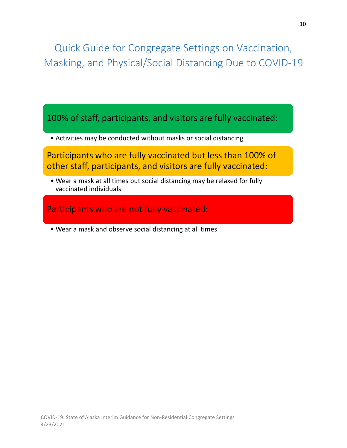<span id="page-9-0"></span>Quick Guide for Congregate Settings on Vaccination, Masking, and Physical/Social Distancing Due to COVID-19

100% of staff, participants, and visitors are fully vaccinated:

• Activities may be conducted without masks or social distancing

Participants who are fully vaccinated but less than 100% of other staff, participants, and visitors are fully vaccinated:

• Wear a mask at all times but social distancing may be relaxed for fully vaccinated individuals.

Participants who are not fully vaccinated:

• Wear a mask and observe social distancing at all times